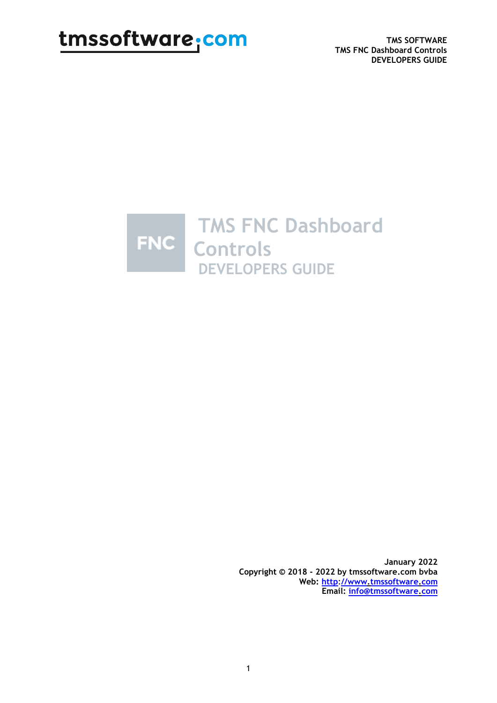**TMS SOFTWARE TMS FNC Dashboard Controls DEVELOPERS GUIDE**



**January 2022 Copyright © 2018 - 2022 by tmssoftware.com bvba Web: http**:**[//www.tmssoftware.com](http://www.tmssoftware.com/) Email: [info@tmssoftware.com](mailto:info@tmssoftware.com)**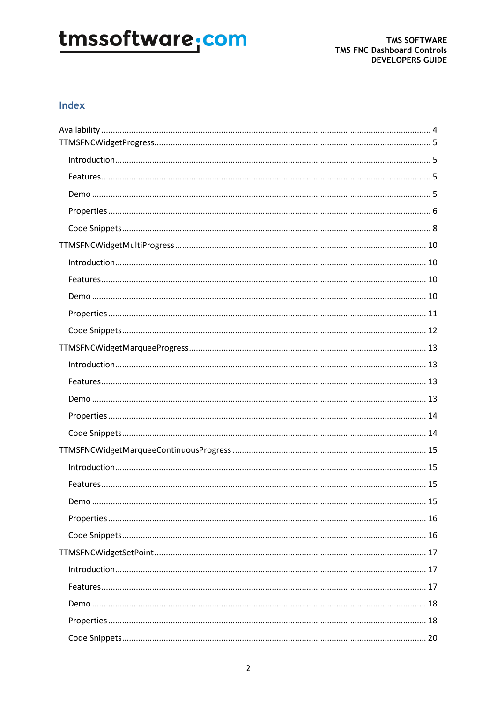#### Index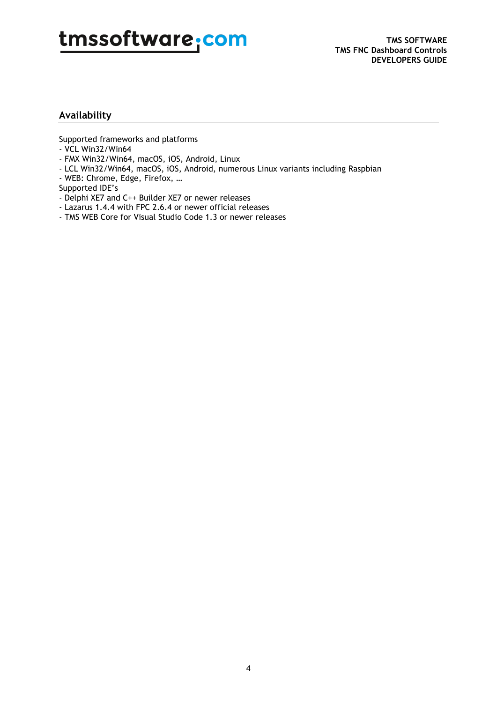#### **Availability**

Supported frameworks and platforms

- VCL Win32/Win64
- FMX Win32/Win64, macOS, iOS, Android, Linux
- LCL Win32/Win64, macOS, iOS, Android, numerous Linux variants including Raspbian
- WEB: Chrome, Edge, Firefox, …
- Supported IDE's
- Delphi XE7 and C++ Builder XE7 or newer releases
- Lazarus 1.4.4 with FPC 2.6.4 or newer official releases
- TMS WEB Core for Visual Studio Code 1.3 or newer releases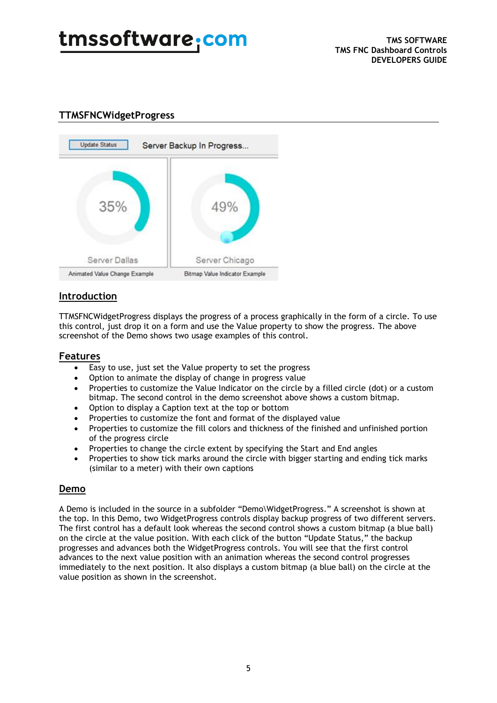#### **TTMSFNCWidgetProgress**



### **Introduction**

TTMSFNCWidgetProgress displays the progress of a process graphically in the form of a circle. To use this control, just drop it on a form and use the Value property to show the progress. The above screenshot of the Demo shows two usage examples of this control.

#### **Features**

- Easy to use, just set the Value property to set the progress
- Option to animate the display of change in progress value
- Properties to customize the Value Indicator on the circle by a filled circle (dot) or a custom bitmap. The second control in the demo screenshot above shows a custom bitmap.
- Option to display a Caption text at the top or bottom
- Properties to customize the font and format of the displayed value
- Properties to customize the fill colors and thickness of the finished and unfinished portion of the progress circle
- Properties to change the circle extent by specifying the Start and End angles
- Properties to show tick marks around the circle with bigger starting and ending tick marks (similar to a meter) with their own captions

#### **Demo**

A Demo is included in the source in a subfolder "Demo\WidgetProgress." A screenshot is shown at the top. In this Demo, two WidgetProgress controls display backup progress of two different servers. The first control has a default look whereas the second control shows a custom bitmap (a blue ball) on the circle at the value position. With each click of the button "Update Status," the backup progresses and advances both the WidgetProgress controls. You will see that the first control advances to the next value position with an animation whereas the second control progresses immediately to the next position. It also displays a custom bitmap (a blue ball) on the circle at the value position as shown in the screenshot.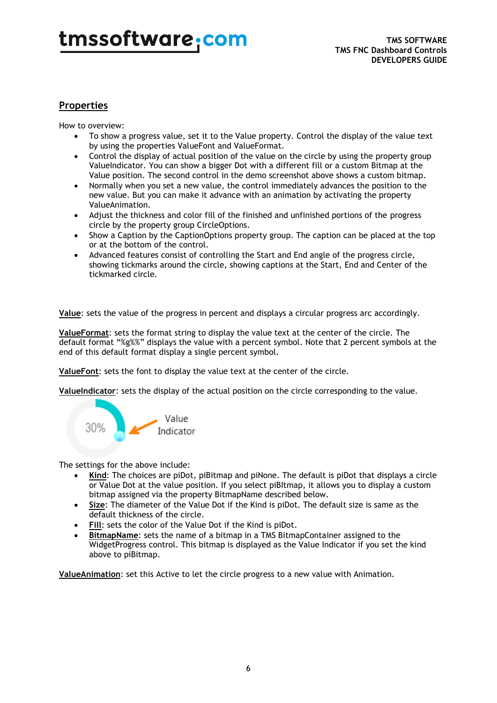### **Properties**

How to overview:

- To show a progress value, set it to the Value property. Control the display of the value text by using the properties ValueFont and ValueFormat.
- Control the display of actual position of the value on the circle by using the property group ValueIndicator. You can show a bigger Dot with a different fill or a custom Bitmap at the Value position. The second control in the demo screenshot above shows a custom bitmap.
- Normally when you set a new value, the control immediately advances the position to the new value. But you can make it advance with an animation by activating the property ValueAnimation.
- Adjust the thickness and color fill of the finished and unfinished portions of the progress circle by the property group CircleOptions.
- Show a Caption by the CaptionOptions property group. The caption can be placed at the top or at the bottom of the control.
- Advanced features consist of controlling the Start and End angle of the progress circle, showing tickmarks around the circle, showing captions at the Start, End and Center of the tickmarked circle.

**Value**: sets the value of the progress in percent and displays a circular progress arc accordingly.

**ValueFormat**: sets the format string to display the value text at the center of the circle. The default format "%g%%" displays the value with a percent symbol. Note that 2 percent symbols at the end of this default format display a single percent symbol.

**ValueFont**: sets the font to display the value text at the center of the circle.

**ValueIndicator**: sets the display of the actual position on the circle corresponding to the value.



The settings for the above include:

- **Kind**: The choices are piDot, piBitmap and piNone. The default is piDot that displays a circle or Value Dot at the value position. If you select piBItmap, it allows you to display a custom bitmap assigned via the property BitmapName described below.
- **Size**: The diameter of the Value Dot if the Kind is piDot. The default size is same as the default thickness of the circle.
- **Fill**: sets the color of the Value Dot if the Kind is piDot.
- **BitmapName:** sets the name of a bitmap in a TMS BitmapContainer assigned to the WidgetProgress control. This bitmap is displayed as the Value Indicator if you set the kind above to piBitmap.

**ValueAnimation**: set this Active to let the circle progress to a new value with Animation.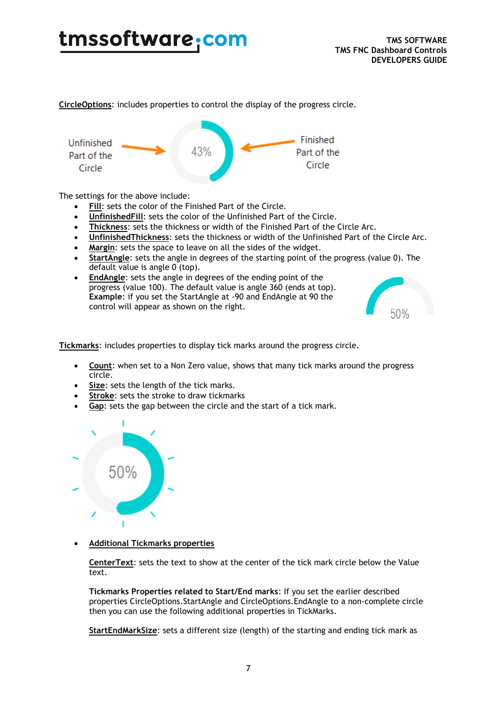**CircleOptions**: includes properties to control the display of the progress circle.



The settings for the above include:

- Fill: sets the color of the Finished Part of the Circle.
- **UnfinishedFill**: sets the color of the Unfinished Part of the Circle.
- **Thickness**: sets the thickness or width of the Finished Part of the Circle Arc.
- **UnfinishedThickness**: sets the thickness or width of the Unfinished Part of the Circle Arc.
- **Margin**: sets the space to leave on all the sides of the widget.
- **StartAngle**: sets the angle in degrees of the starting point of the progress (value 0). The default value is angle 0 (top).
- **EndAngle**: sets the angle in degrees of the ending point of the progress (value 100). The default value is angle 360 (ends at top). **Example**: if you set the StartAngle at -90 and EndAngle at 90 the control will appear as shown on the right.



**Tickmarks**: includes properties to display tick marks around the progress circle.

- **Count**: when set to a Non Zero value, shows that many tick marks around the progress circle.
- **Size**: sets the length of the tick marks.
- **Stroke**: sets the stroke to draw tickmarks
- Gap: sets the gap between the circle and the start of a tick mark.



• **Additional Tickmarks properties**

**CenterText**: sets the text to show at the center of the tick mark circle below the Value text.

**Tickmarks Properties related to Start/End marks**: If you set the earlier described properties CircleOptions.StartAngle and CircleOptions.EndAngle to a non-complete circle then you can use the following additional properties in TickMarks.

**StartEndMarkSize**: sets a different size (length) of the starting and ending tick mark as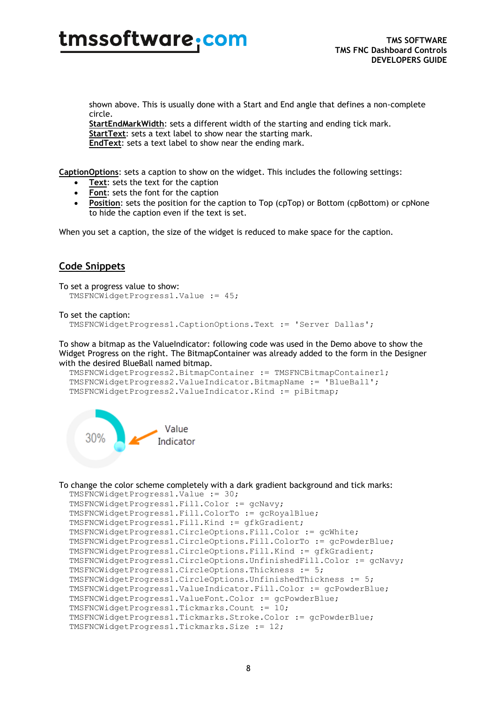shown above. This is usually done with a Start and End angle that defines a non-complete circle.

**StartEndMarkWidth**: sets a different width of the starting and ending tick mark. **StartText**: sets a text label to show near the starting mark. **EndText**: sets a text label to show near the ending mark.

**CaptionOptions**: sets a caption to show on the widget. This includes the following settings:

- **Text:** sets the text for the caption
- **Font**: sets the font for the caption
- **Position**: sets the position for the caption to Top (cpTop) or Bottom (cpBottom) or cpNone to hide the caption even if the text is set.

When you set a caption, the size of the widget is reduced to make space for the caption.

#### **Code Snippets**

```
To set a progress value to show:
   TMSFNCWidgetProgress1.Value := 45;
```

```
To set the caption:
```

```
 TMSFNCWidgetProgress1.CaptionOptions.Text := 'Server Dallas';
```
To show a bitmap as the ValueIndicator: following code was used in the Demo above to show the Widget Progress on the right. The BitmapContainer was already added to the form in the Designer with the desired BlueBall named bitmap.

```
 TMSFNCWidgetProgress2.BitmapContainer := TMSFNCBitmapContainer1;
 TMSFNCWidgetProgress2.ValueIndicator.BitmapName := 'BlueBall';
 TMSFNCWidgetProgress2.ValueIndicator.Kind := piBitmap;
```


#### To change the color scheme completely with a dark gradient background and tick marks:

```
 TMSFNCWidgetProgress1.Value := 30;
 TMSFNCWidgetProgress1.Fill.Color := gcNavy;
 TMSFNCWidgetProgress1.Fill.ColorTo := gcRoyalBlue;
 TMSFNCWidgetProgress1.Fill.Kind := gfkGradient;
 TMSFNCWidgetProgress1.CircleOptions.Fill.Color := gcWhite;
 TMSFNCWidgetProgress1.CircleOptions.Fill.ColorTo := gcPowderBlue;
 TMSFNCWidgetProgress1.CircleOptions.Fill.Kind := gfkGradient;
 TMSFNCWidgetProgress1.CircleOptions.UnfinishedFill.Color := gcNavy; 
 TMSFNCWidgetProgress1.CircleOptions.Thickness := 5;
 TMSFNCWidgetProgress1.CircleOptions.UnfinishedThickness := 5;
 TMSFNCWidgetProgress1.ValueIndicator.Fill.Color := gcPowderBlue;
 TMSFNCWidgetProgress1.ValueFont.Color := gcPowderBlue;
 TMSFNCWidgetProgress1.Tickmarks.Count := 10;
 TMSFNCWidgetProgress1.Tickmarks.Stroke.Color := gcPowderBlue;
 TMSFNCWidgetProgress1.Tickmarks.Size := 12;
```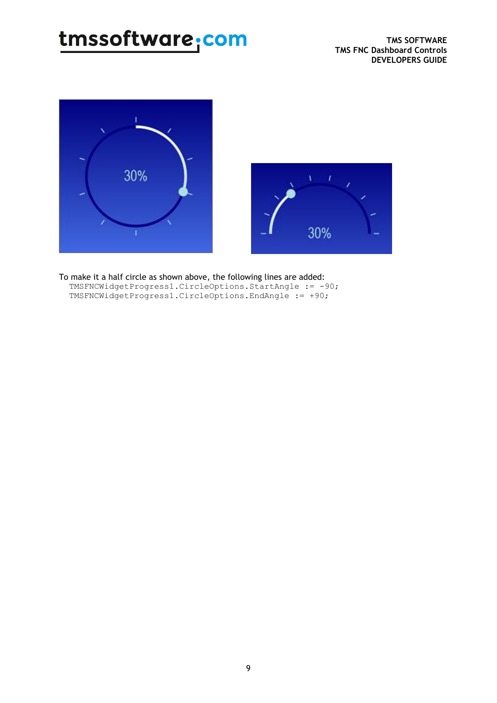



To make it a half circle as shown above, the following lines are added: TMSFNCWidgetProgress1.CircleOptions.StartAngle := -90; TMSFNCWidgetProgress1.CircleOptions.EndAngle := +90;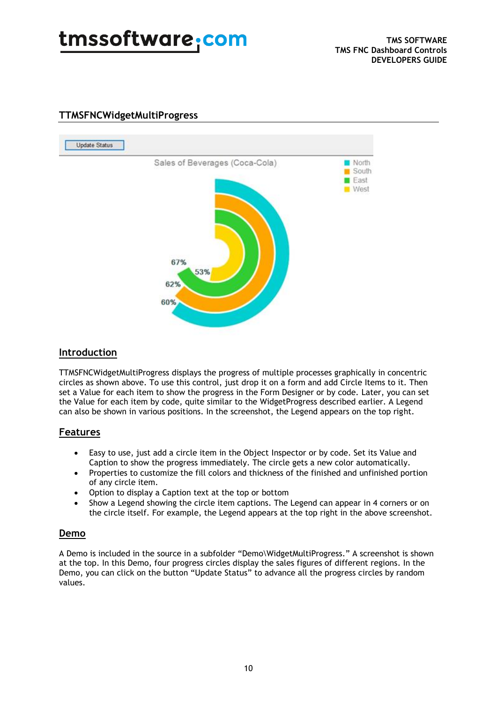

### **Update Status** Sales of Beverages (Coca-Cola) North South East West 67% 53% 62% 60%

#### **TTMSFNCWidgetMultiProgress**

#### **Introduction**

TTMSFNCWidgetMultiProgress displays the progress of multiple processes graphically in concentric circles as shown above. To use this control, just drop it on a form and add Circle Items to it. Then set a Value for each item to show the progress in the Form Designer or by code. Later, you can set the Value for each item by code, quite similar to the WidgetProgress described earlier. A Legend can also be shown in various positions. In the screenshot, the Legend appears on the top right.

#### **Features**

- Easy to use, just add a circle item in the Object Inspector or by code. Set its Value and Caption to show the progress immediately. The circle gets a new color automatically.
- Properties to customize the fill colors and thickness of the finished and unfinished portion of any circle item.
- Option to display a Caption text at the top or bottom
- Show a Legend showing the circle item captions. The Legend can appear in 4 corners or on the circle itself. For example, the Legend appears at the top right in the above screenshot.

#### **Demo**

A Demo is included in the source in a subfolder "Demo\WidgetMultiProgress." A screenshot is shown at the top. In this Demo, four progress circles display the sales figures of different regions. In the Demo, you can click on the button "Update Status" to advance all the progress circles by random values.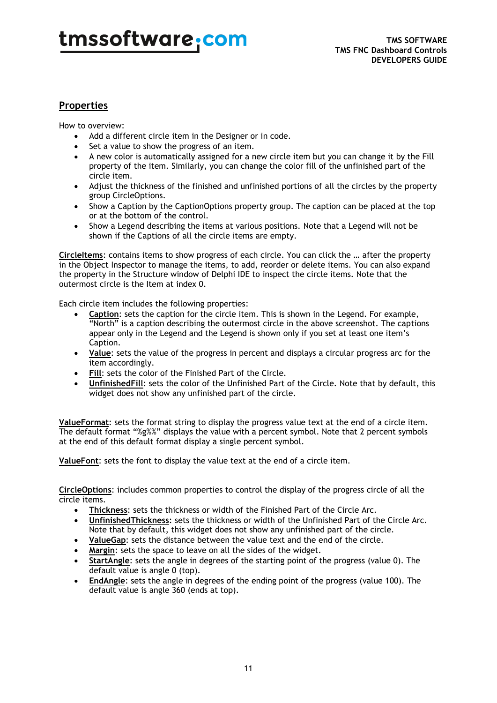### **Properties**

How to overview:

- Add a different circle item in the Designer or in code.
- Set a value to show the progress of an item.
- A new color is automatically assigned for a new circle item but you can change it by the Fill property of the item. Similarly, you can change the color fill of the unfinished part of the circle item.
- Adjust the thickness of the finished and unfinished portions of all the circles by the property group CircleOptions.
- Show a Caption by the CaptionOptions property group. The caption can be placed at the top or at the bottom of the control.
- Show a Legend describing the items at various positions. Note that a Legend will not be shown if the Captions of all the circle items are empty.

**CircleItems**: contains items to show progress of each circle. You can click the … after the property in the Object Inspector to manage the items, to add, reorder or delete items. You can also expand the property in the Structure window of Delphi IDE to inspect the circle items. Note that the outermost circle is the Item at index 0.

Each circle item includes the following properties:

- **Caption**: sets the caption for the circle item. This is shown in the Legend. For example, "North" is a caption describing the outermost circle in the above screenshot. The captions appear only in the Legend and the Legend is shown only if you set at least one item's Caption.
- **Value**: sets the value of the progress in percent and displays a circular progress arc for the item accordingly.
- **Fill**: sets the color of the Finished Part of the Circle.
- **UnfinishedFill**: sets the color of the Unfinished Part of the Circle. Note that by default, this widget does not show any unfinished part of the circle.

**ValueFormat**: sets the format string to display the progress value text at the end of a circle item. The default format "%g%%" displays the value with a percent symbol. Note that 2 percent symbols at the end of this default format display a single percent symbol.

**ValueFont**: sets the font to display the value text at the end of a circle item.

**CircleOptions**: includes common properties to control the display of the progress circle of all the circle items.

- **Thickness**: sets the thickness or width of the Finished Part of the Circle Arc.
- **UnfinishedThickness**: sets the thickness or width of the Unfinished Part of the Circle Arc. Note that by default, this widget does not show any unfinished part of the circle.
- **ValueGap**: sets the distance between the value text and the end of the circle.
- **Margin**: sets the space to leave on all the sides of the widget.
- **StartAngle**: sets the angle in degrees of the starting point of the progress (value 0). The default value is angle 0 (top).
- **EndAngle**: sets the angle in degrees of the ending point of the progress (value 100). The default value is angle 360 (ends at top).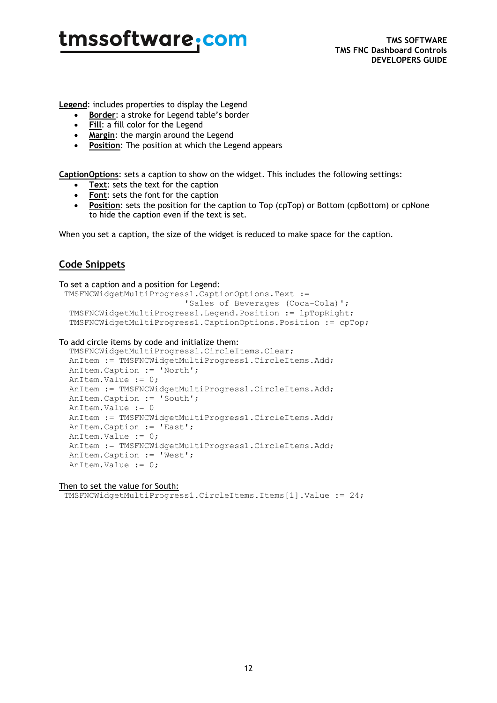**Legend**: includes properties to display the Legend

- **Border**: a stroke for Legend table's border
- **Fill**: a fill color for the Legend
- **Margin**: the margin around the Legend
- **Position**: The position at which the Legend appears

**CaptionOptions**: sets a caption to show on the widget. This includes the following settings:

- **Text**: sets the text for the caption
- **Font**: sets the font for the caption
- **Position**: sets the position for the caption to Top (cpTop) or Bottom (cpBottom) or cpNone to hide the caption even if the text is set.

When you set a caption, the size of the widget is reduced to make space for the caption.

### **Code Snippets**

#### To set a caption and a position for Legend: TMSFNCWidgetMultiProgress1.CaptionOptions.Text := 'Sales of Beverages (Coca-Cola)'; TMSFNCWidgetMultiProgress1.Legend.Position := lpTopRight; TMSFNCWidgetMultiProgress1.CaptionOptions.Position := cpTop;

#### To add circle items by code and initialize them:

```
 TMSFNCWidgetMultiProgress1.CircleItems.Clear;
 AnItem := TMSFNCWidgetMultiProgress1.CircleItems.Add;
 AnItem.Caption := 'North';
 AnItem.Value := 0;
 AnItem := TMSFNCWidgetMultiProgress1.CircleItems.Add;
 AnItem.Caption := 'South';
 AnItem.Value := 0
 AnItem := TMSFNCWidgetMultiProgress1.CircleItems.Add;
 AnItem.Caption := 'East';
 AnItem.Value := 0;
 AnItem := TMSFNCWidgetMultiProgress1.CircleItems.Add;
 AnItem.Caption := 'West';
 AnItem.Value := 0;
```
#### Then to set the value for South:

TMSFNCWidgetMultiProgress1.CircleItems.Items[1].Value := 24;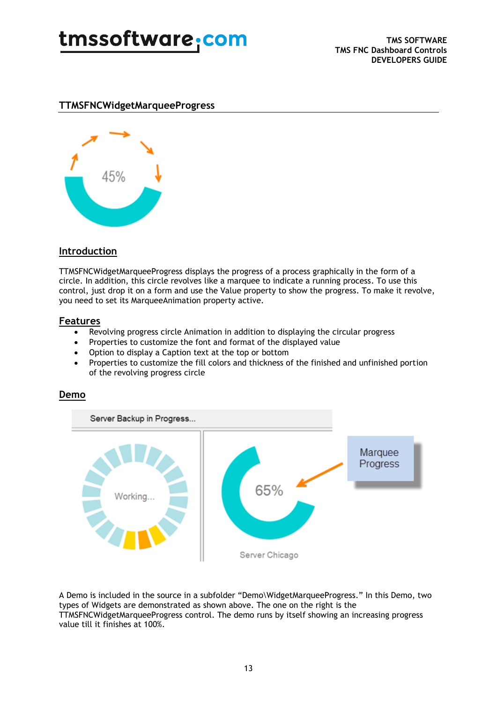#### **TTMSFNCWidgetMarqueeProgress**



### **Introduction**

TTMSFNCWidgetMarqueeProgress displays the progress of a process graphically in the form of a circle. In addition, this circle revolves like a marquee to indicate a running process. To use this control, just drop it on a form and use the Value property to show the progress. To make it revolve, you need to set its MarqueeAnimation property active.

#### **Features**

- Revolving progress circle Animation in addition to displaying the circular progress
- Properties to customize the font and format of the displayed value
- Option to display a Caption text at the top or bottom
- Properties to customize the fill colors and thickness of the finished and unfinished portion of the revolving progress circle



### **Demo**

A Demo is included in the source in a subfolder "Demo\WidgetMarqueeProgress." In this Demo, two types of Widgets are demonstrated as shown above. The one on the right is the TTMSFNCWidgetMarqueeProgress control. The demo runs by itself showing an increasing progress value till it finishes at 100%.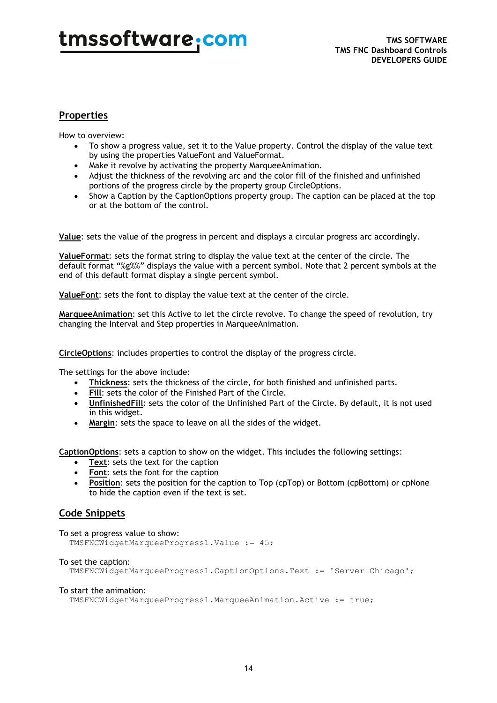#### **Properties**

How to overview:

- To show a progress value, set it to the Value property. Control the display of the value text by using the properties ValueFont and ValueFormat.
- Make it revolve by activating the property MarqueeAnimation.
- Adjust the thickness of the revolving arc and the color fill of the finished and unfinished portions of the progress circle by the property group CircleOptions.
- Show a Caption by the CaptionOptions property group. The caption can be placed at the top or at the bottom of the control.

**Value**: sets the value of the progress in percent and displays a circular progress arc accordingly.

**ValueFormat**: sets the format string to display the value text at the center of the circle. The default format "%g%%" displays the value with a percent symbol. Note that 2 percent symbols at the end of this default format display a single percent symbol.

**ValueFont**: sets the font to display the value text at the center of the circle.

**MarqueeAnimation**: set this Active to let the circle revolve. To change the speed of revolution, try changing the Interval and Step properties in MarqueeAnimation.

**CircleOptions**: includes properties to control the display of the progress circle.

The settings for the above include:

- **Thickness**: sets the thickness of the circle, for both finished and unfinished parts.
- **Fill:** sets the color of the Finished Part of the Circle.
- **UnfinishedFill**: sets the color of the Unfinished Part of the Circle. By default, it is not used in this widget.
- **Margin**: sets the space to leave on all the sides of the widget.

**CaptionOptions**: sets a caption to show on the widget. This includes the following settings:

- **Text**: sets the text for the caption
- **Font**: sets the font for the caption
- **Position**: sets the position for the caption to Top (cpTop) or Bottom (cpBottom) or cpNone to hide the caption even if the text is set.

#### **Code Snippets**

To set a progress value to show:

TMSFNCWidgetMarqueeProgress1.Value := 45;

#### To set the caption:

TMSFNCWidgetMarqueeProgress1.CaptionOptions.Text := 'Server Chicago';

#### To start the animation:

TMSFNCWidgetMarqueeProgress1.MarqueeAnimation.Active := true;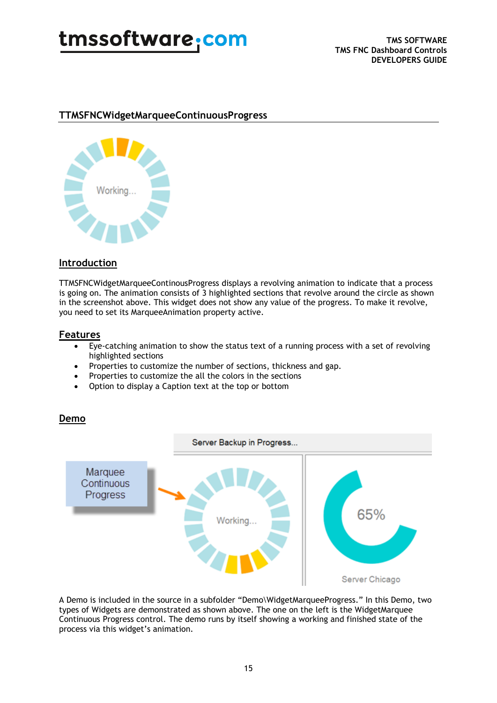

#### **TTMSFNCWidgetMarqueeContinuousProgress**



#### **Introduction**

TTMSFNCWidgetMarqueeContinousProgress displays a revolving animation to indicate that a process is going on. The animation consists of 3 highlighted sections that revolve around the circle as shown in the screenshot above. This widget does not show any value of the progress. To make it revolve, you need to set its MarqueeAnimation property active.

#### **Features**

- Eye-catching animation to show the status text of a running process with a set of revolving highlighted sections
- Properties to customize the number of sections, thickness and gap.
- Properties to customize the all the colors in the sections
- Option to display a Caption text at the top or bottom

#### **Demo**



A Demo is included in the source in a subfolder "Demo\WidgetMarqueeProgress." In this Demo, two types of Widgets are demonstrated as shown above. The one on the left is the WidgetMarquee Continuous Progress control. The demo runs by itself showing a working and finished state of the process via this widget's animation.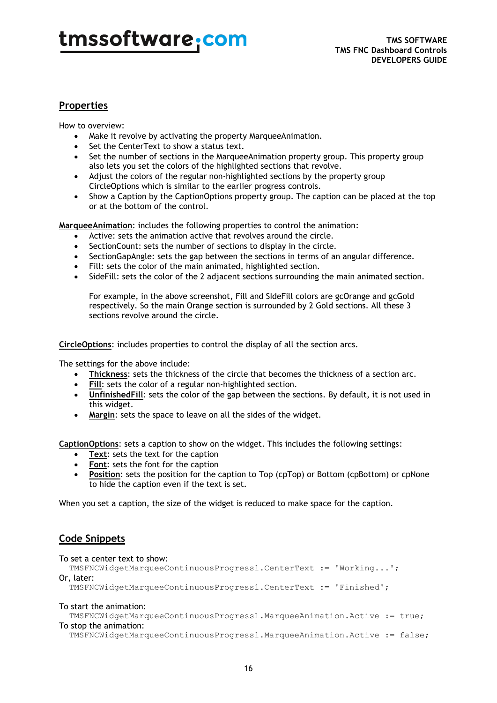### **Properties**

How to overview:

- Make it revolve by activating the property MarqueeAnimation.
- Set the CenterText to show a status text.
- Set the number of sections in the MarqueeAnimation property group. This property group also lets you set the colors of the highlighted sections that revolve.
- Adjust the colors of the regular non-highlighted sections by the property group CircleOptions which is similar to the earlier progress controls.
- Show a Caption by the CaptionOptions property group. The caption can be placed at the top or at the bottom of the control.

**MarqueeAnimation**: includes the following properties to control the animation:

- Active: sets the animation active that revolves around the circle.
- SectionCount: sets the number of sections to display in the circle.
- SectionGapAngle: sets the gap between the sections in terms of an angular difference.
- Fill: sets the color of the main animated, highlighted section.
- SideFill: sets the color of the 2 adjacent sections surrounding the main animated section.

For example, in the above screenshot, Fill and SIdeFill colors are gcOrange and gcGold respectively. So the main Orange section is surrounded by 2 Gold sections. All these 3 sections revolve around the circle.

**CircleOptions**: includes properties to control the display of all the section arcs.

The settings for the above include:

- **Thickness**: sets the thickness of the circle that becomes the thickness of a section arc.
- **Fill**: sets the color of a regular non-highlighted section.
- **UnfinishedFill**: sets the color of the gap between the sections. By default, it is not used in this widget.
- **Margin**: sets the space to leave on all the sides of the widget.

**CaptionOptions**: sets a caption to show on the widget. This includes the following settings:

- **Text**: sets the text for the caption
- **Font**: sets the font for the caption
- **Position:** sets the position for the caption to Top (cpTop) or Bottom (cpBottom) or cpNone to hide the caption even if the text is set.

When you set a caption, the size of the widget is reduced to make space for the caption.

#### **Code Snippets**

#### To set a center text to show:

 TMSFNCWidgetMarqueeContinuousProgress1.CenterText := 'Working...'; Or, later:

TMSFNCWidgetMarqueeContinuousProgress1.CenterText := 'Finished';

#### To start the animation:

 TMSFNCWidgetMarqueeContinuousProgress1.MarqueeAnimation.Active := true; To stop the animation:

TMSFNCWidgetMarqueeContinuousProgress1.MarqueeAnimation.Active := false;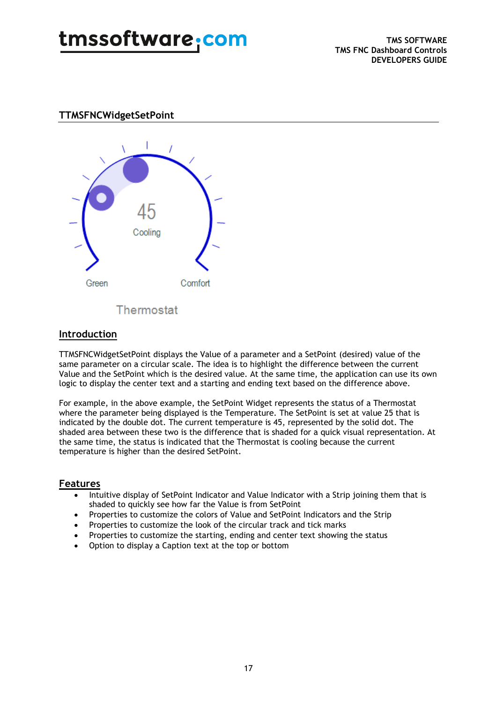### **TTMSFNCWidgetSetPoint**



Thermostat

### **Introduction**

TTMSFNCWidgetSetPoint displays the Value of a parameter and a SetPoint (desired) value of the same parameter on a circular scale. The idea is to highlight the difference between the current Value and the SetPoint which is the desired value. At the same time, the application can use its own logic to display the center text and a starting and ending text based on the difference above.

For example, in the above example, the SetPoint Widget represents the status of a Thermostat where the parameter being displayed is the Temperature. The SetPoint is set at value 25 that is indicated by the double dot. The current temperature is 45, represented by the solid dot. The shaded area between these two is the difference that is shaded for a quick visual representation. At the same time, the status is indicated that the Thermostat is cooling because the current temperature is higher than the desired SetPoint.

#### **Features**

- Intuitive display of SetPoint Indicator and Value Indicator with a Strip joining them that is shaded to quickly see how far the Value is from SetPoint
- Properties to customize the colors of Value and SetPoint Indicators and the Strip
- Properties to customize the look of the circular track and tick marks
- Properties to customize the starting, ending and center text showing the status
- Option to display a Caption text at the top or bottom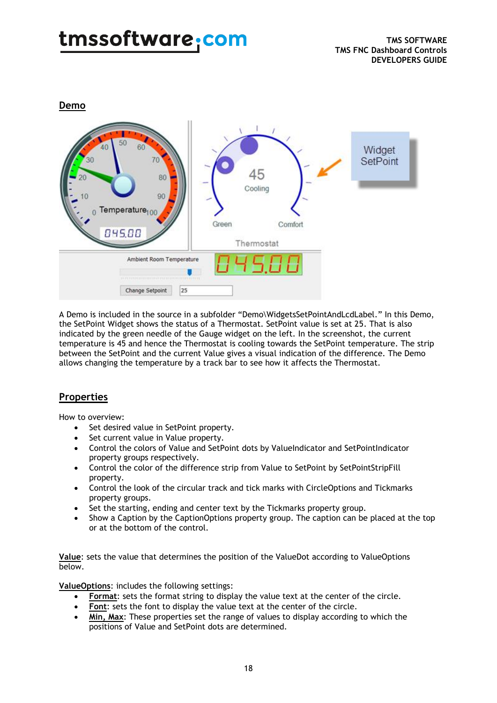**Demo** 



A Demo is included in the source in a subfolder "Demo\WidgetsSetPointAndLcdLabel." In this Demo, the SetPoint Widget shows the status of a Thermostat. SetPoint value is set at 25. That is also indicated by the green needle of the Gauge widget on the left. In the screenshot, the current temperature is 45 and hence the Thermostat is cooling towards the SetPoint temperature. The strip between the SetPoint and the current Value gives a visual indication of the difference. The Demo allows changing the temperature by a track bar to see how it affects the Thermostat.

### **Properties**

How to overview:

- Set desired value in SetPoint property.
- Set current value in Value property.
- Control the colors of Value and SetPoint dots by ValueIndicator and SetPointIndicator property groups respectively.
- Control the color of the difference strip from Value to SetPoint by SetPointStripFill property.
- Control the look of the circular track and tick marks with CircleOptions and Tickmarks property groups.
- Set the starting, ending and center text by the Tickmarks property group.
- Show a Caption by the CaptionOptions property group. The caption can be placed at the top or at the bottom of the control.

**Value**: sets the value that determines the position of the ValueDot according to ValueOptions below.

**ValueOptions**: includes the following settings:

- **Format**: sets the format string to display the value text at the center of the circle.
- Font: sets the font to display the value text at the center of the circle.
- **Min, Max**: These properties set the range of values to display according to which the positions of Value and SetPoint dots are determined.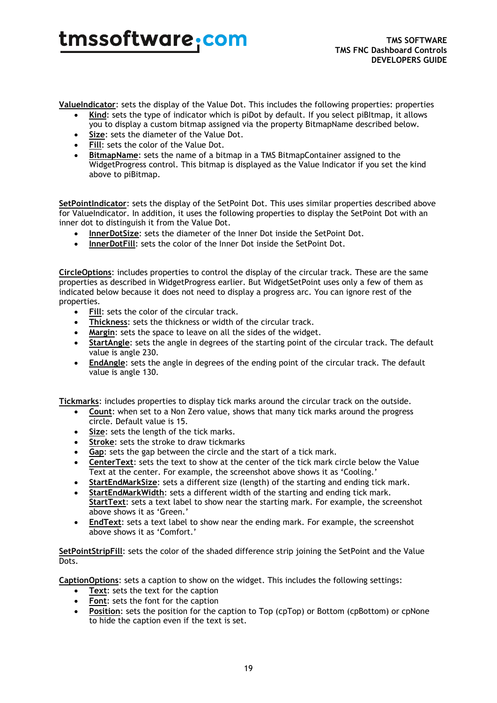**ValueIndicator**: sets the display of the Value Dot. This includes the following properties: properties

- **Kind**: sets the type of indicator which is piDot by default. If you select piBItmap, it allows you to display a custom bitmap assigned via the property BitmapName described below.
- **Size**: sets the diameter of the Value Dot.
- **Fill:** sets the color of the Value Dot.
- **BitmapName**: sets the name of a bitmap in a TMS BitmapContainer assigned to the WidgetProgress control. This bitmap is displayed as the Value Indicator if you set the kind above to piBitmap.

**SetPointIndicator**: sets the display of the SetPoint Dot. This uses similar properties described above for ValueIndicator. In addition, it uses the following properties to display the SetPoint Dot with an inner dot to distinguish it from the Value Dot.

- **InnerDotSize**: sets the diameter of the Inner Dot inside the SetPoint Dot.
- **InnerDotFill**: sets the color of the Inner Dot inside the SetPoint Dot.

**CircleOptions**: includes properties to control the display of the circular track. These are the same properties as described in WidgetProgress earlier. But WidgetSetPoint uses only a few of them as indicated below because it does not need to display a progress arc. You can ignore rest of the properties.

- **Fill**: sets the color of the circular track.
- **Thickness**: sets the thickness or width of the circular track.
- **Margin**: sets the space to leave on all the sides of the widget.
- **StartAngle**: sets the angle in degrees of the starting point of the circular track. The default value is angle 230.
- **EndAngle**: sets the angle in degrees of the ending point of the circular track. The default value is angle 130.

**Tickmarks**: includes properties to display tick marks around the circular track on the outside.

- **Count**: when set to a Non Zero value, shows that many tick marks around the progress circle. Default value is 15.
- **Size**: sets the length of the tick marks.
- **Stroke**: sets the stroke to draw tickmarks
- **Gap**: sets the gap between the circle and the start of a tick mark.
- **CenterText**: sets the text to show at the center of the tick mark circle below the Value Text at the center. For example, the screenshot above shows it as 'Cooling.'
- **StartEndMarkSize**: sets a different size (length) of the starting and ending tick mark.
- **StartEndMarkWidth**: sets a different width of the starting and ending tick mark. **StartText**: sets a text label to show near the starting mark. For example, the screenshot above shows it as 'Green.'
- **EndText**: sets a text label to show near the ending mark. For example, the screenshot above shows it as 'Comfort.'

**SetPointStripFill**: sets the color of the shaded difference strip joining the SetPoint and the Value Dots.

**CaptionOptions**: sets a caption to show on the widget. This includes the following settings:

- **Text:** sets the text for the caption
- **Font**: sets the font for the caption
- **Position**: sets the position for the caption to Top (cpTop) or Bottom (cpBottom) or cpNone to hide the caption even if the text is set.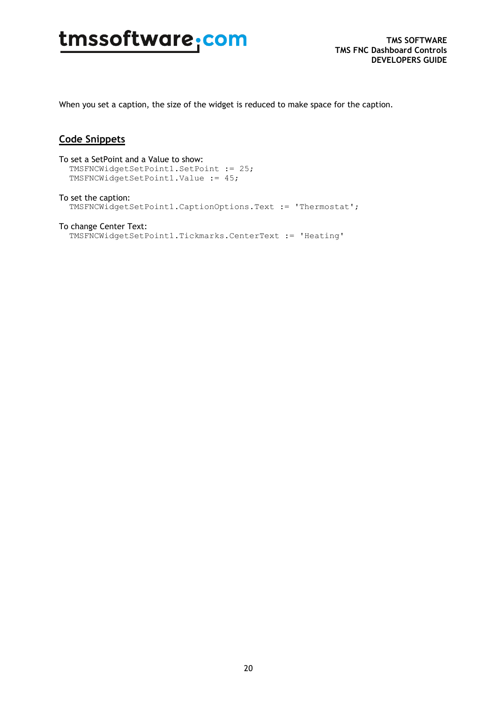When you set a caption, the size of the widget is reduced to make space for the caption.

#### **Code Snippets**

To set a SetPoint and a Value to show: TMSFNCWidgetSetPoint1.SetPoint := 25; TMSFNCWidgetSetPoint1.Value := 45;

To set the caption: TMSFNCWidgetSetPoint1.CaptionOptions.Text := 'Thermostat';

### To change Center Text:

TMSFNCWidgetSetPoint1.Tickmarks.CenterText := 'Heating'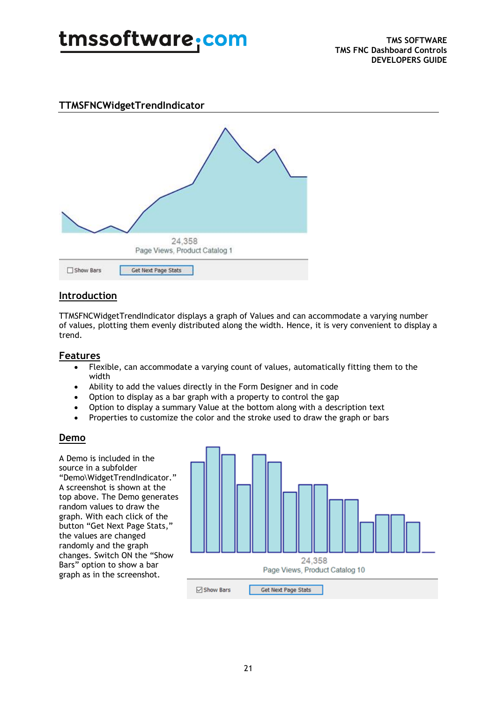### **TTMSFNCWidgetTrendIndicator**



### **Introduction**

TTMSFNCWidgetTrendIndicator displays a graph of Values and can accommodate a varying number of values, plotting them evenly distributed along the width. Hence, it is very convenient to display a trend.

#### **Features**

- Flexible, can accommodate a varying count of values, automatically fitting them to the width
- Ability to add the values directly in the Form Designer and in code
- Option to display as a bar graph with a property to control the gap
- Option to display a summary Value at the bottom along with a description text
- Properties to customize the color and the stroke used to draw the graph or bars

#### **Demo**

A Demo is included in the source in a subfolder "Demo\WidgetTrendIndicator." A screenshot is shown at the top above. The Demo generates random values to draw the graph. With each click of the button "Get Next Page Stats," the values are changed randomly and the graph changes. Switch ON the "Show Bars" option to show a bar graph as in the screenshot.

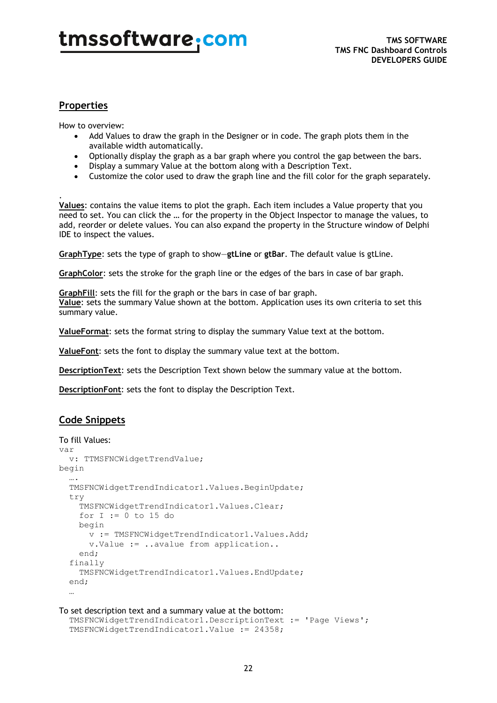### **Properties**

How to overview:

- Add Values to draw the graph in the Designer or in code. The graph plots them in the available width automatically.
- Optionally display the graph as a bar graph where you control the gap between the bars.
- Display a summary Value at the bottom along with a Description Text.
- Customize the color used to draw the graph line and the fill color for the graph separately.

. **Values**: contains the value items to plot the graph. Each item includes a Value property that you need to set. You can click the … for the property in the Object Inspector to manage the values, to add, reorder or delete values. You can also expand the property in the Structure window of Delphi IDE to inspect the values.

**GraphType**: sets the type of graph to show—**gtLine** or **gtBar**. The default value is gtLine.

**GraphColor**: sets the stroke for the graph line or the edges of the bars in case of bar graph.

**GraphFill**: sets the fill for the graph or the bars in case of bar graph. **Value**: sets the summary Value shown at the bottom. Application uses its own criteria to set this summary value.

**ValueFormat**: sets the format string to display the summary Value text at the bottom.

**ValueFont**: sets the font to display the summary value text at the bottom.

**DescriptionText**: sets the Description Text shown below the summary value at the bottom.

**DescriptionFont**: sets the font to display the Description Text.

#### **Code Snippets**

```
To fill Values:
var
   v: TTMSFNCWidgetTrendValue; 
begin
   ….
   TMSFNCWidgetTrendIndicator1.Values.BeginUpdate;
   try
     TMSFNCWidgetTrendIndicator1.Values.Clear;
     for I := 0 to 15 do
     begin
       v := TMSFNCWidgetTrendIndicator1.Values.Add;
       v.Value := ..avalue from application..
     end;
   finally
     TMSFNCWidgetTrendIndicator1.Values.EndUpdate;
   end;
 …
```
#### To set description text and a summary value at the bottom:

```
 TMSFNCWidgetTrendIndicator1.DescriptionText := 'Page Views';
 TMSFNCWidgetTrendIndicator1.Value := 24358;
```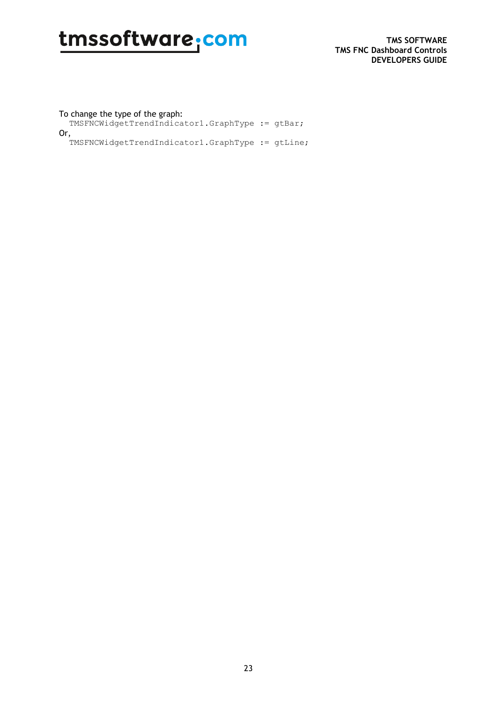#### To change the type of the graph:

TMSFNCWidgetTrendIndicator1.GraphType := gtBar;

Or,

TMSFNCWidgetTrendIndicator1.GraphType := gtLine;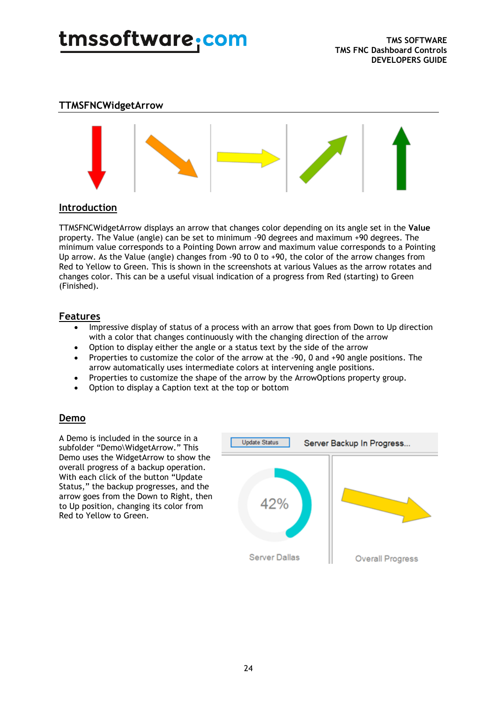#### **TTMSFNCWidgetArrow**



#### **Introduction**

TTMSFNCWidgetArrow displays an arrow that changes color depending on its angle set in the **Value** property. The Value (angle) can be set to minimum -90 degrees and maximum +90 degrees. The minimum value corresponds to a Pointing Down arrow and maximum value corresponds to a Pointing Up arrow. As the Value (angle) changes from -90 to 0 to +90, the color of the arrow changes from Red to Yellow to Green. This is shown in the screenshots at various Values as the arrow rotates and changes color. This can be a useful visual indication of a progress from Red (starting) to Green (Finished).

#### **Features**

- Impressive display of status of a process with an arrow that goes from Down to Up direction with a color that changes continuously with the changing direction of the arrow
- Option to display either the angle or a status text by the side of the arrow
- Properties to customize the color of the arrow at the -90, 0 and +90 angle positions. The arrow automatically uses intermediate colors at intervening angle positions.
- Properties to customize the shape of the arrow by the ArrowOptions property group.
- Option to display a Caption text at the top or bottom

#### **Demo**

A Demo is included in the source in a subfolder "Demo\WidgetArrow." This Demo uses the WidgetArrow to show the overall progress of a backup operation. With each click of the button "Update Status," the backup progresses, and the arrow goes from the Down to Right, then to Up position, changing its color from Red to Yellow to Green.

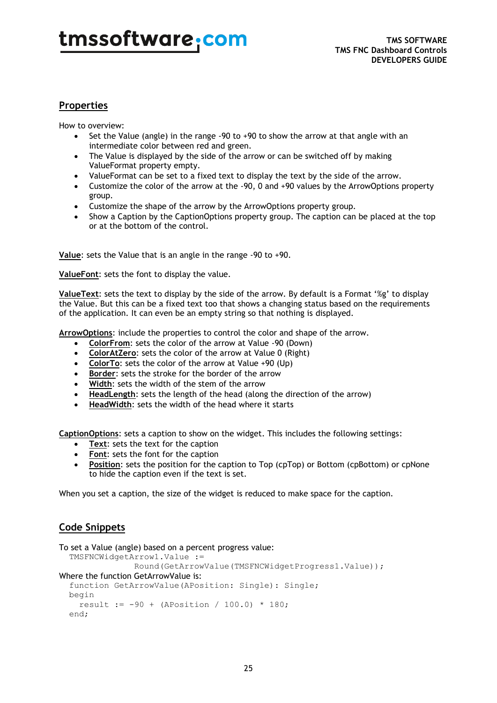### **Properties**

How to overview:

- Set the Value (angle) in the range  $-90$  to  $+90$  to show the arrow at that angle with an intermediate color between red and green.
- The Value is displayed by the side of the arrow or can be switched off by making ValueFormat property empty.
- ValueFormat can be set to a fixed text to display the text by the side of the arrow.
- Customize the color of the arrow at the -90, 0 and +90 values by the ArrowOptions property group.
- Customize the shape of the arrow by the ArrowOptions property group.
- Show a Caption by the CaptionOptions property group. The caption can be placed at the top or at the bottom of the control.

**Value**: sets the Value that is an angle in the range -90 to +90.

**ValueFont**: sets the font to display the value.

**ValueText**: sets the text to display by the side of the arrow. By default is a Format '%g' to display the Value. But this can be a fixed text too that shows a changing status based on the requirements of the application. It can even be an empty string so that nothing is displayed.

**ArrowOptions**: include the properties to control the color and shape of the arrow.

- **ColorFrom**: sets the color of the arrow at Value -90 (Down)
- **ColorAtZero**: sets the color of the arrow at Value 0 (Right)
- **ColorTo**: sets the color of the arrow at Value +90 (Up)
- **Border:** sets the stroke for the border of the arrow
- Width: sets the width of the stem of the arrow
- **HeadLength**: sets the length of the head (along the direction of the arrow)
- **HeadWidth**: sets the width of the head where it starts

**CaptionOptions**: sets a caption to show on the widget. This includes the following settings:

- **Text**: sets the text for the caption
- **Font**: sets the font for the caption
- **Position**: sets the position for the caption to Top (cpTop) or Bottom (cpBottom) or cpNone to hide the caption even if the text is set.

When you set a caption, the size of the widget is reduced to make space for the caption.

#### **Code Snippets**

```
To set a Value (angle) based on a percent progress value:
   TMSFNCWidgetArrow1.Value := 
                  Round(GetArrowValue(TMSFNCWidgetProgress1.Value));
Where the function GetArrowValue is:
   function GetArrowValue(APosition: Single): Single;
   begin
    result := -90 + (APosition / 100.0) * 180; end;
```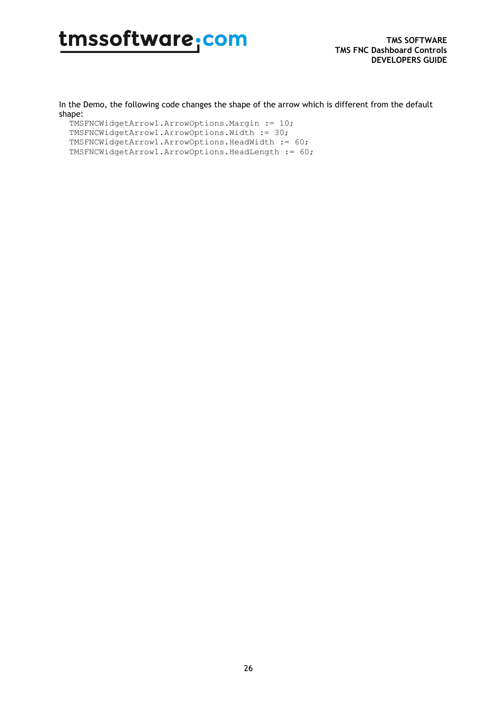In the Demo, the following code changes the shape of the arrow which is different from the default shape:

TMSFNCWidgetArrow1.ArrowOptions.Margin := 10; TMSFNCWidgetArrow1.ArrowOptions.Width := 30; TMSFNCWidgetArrow1.ArrowOptions.HeadWidth := 60; TMSFNCWidgetArrow1.ArrowOptions.HeadLength := 60;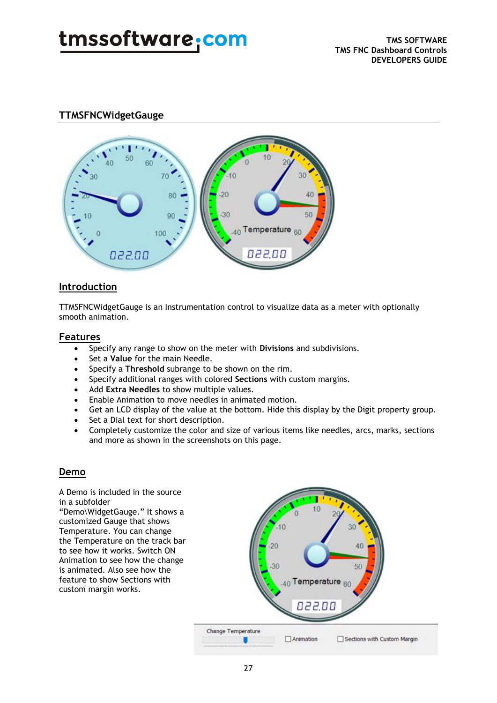### **TTMSFNCWidgetGauge**



#### **Introduction**

TTMSFNCWidgetGauge is an Instrumentation control to visualize data as a meter with optionally smooth animation.

#### **Features**

- Specify any range to show on the meter with **Divisions** and subdivisions.
- Set a **Value** for the main Needle.
- Specify a **Threshold** subrange to be shown on the rim.
- Specify additional ranges with colored **Sections** with custom margins.
- Add **Extra Needles** to show multiple values.
- Enable Animation to move needles in animated motion.
- Get an LCD display of the value at the bottom. Hide this display by the Digit property group.
- Set a Dial text for short description.
- Completely customize the color and size of various items like needles, arcs, marks, sections and more as shown in the screenshots on this page.

#### **Demo**

A Demo is included in the source in a subfolder "Demo\WidgetGauge." It shows a customized Gauge that shows Temperature. You can change the Temperature on the track bar to see how it works. Switch ON Animation to see how the change is animated. Also see how the feature to show Sections with custom margin works.

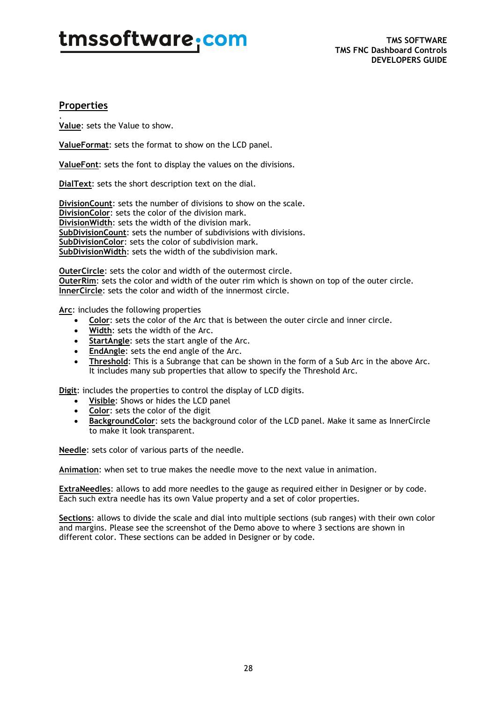### **Properties**

. **Value**: sets the Value to show.

**ValueFormat**: sets the format to show on the LCD panel.

**ValueFont**: sets the font to display the values on the divisions.

**DialText**: sets the short description text on the dial.

**DivisionCount**: sets the number of divisions to show on the scale. **DivisionColor**: sets the color of the division mark. **DivisionWidth**: sets the width of the division mark. **SubDivisionCount**: sets the number of subdivisions with divisions. **SubDivisionColor**: sets the color of subdivision mark. **SubDivisionWidth**: sets the width of the subdivision mark.

**OuterCircle**: sets the color and width of the outermost circle. **OuterRim**: sets the color and width of the outer rim which is shown on top of the outer circle. **InnerCircle**: sets the color and width of the innermost circle.

**Arc**: includes the following properties

- **Color**: sets the color of the Arc that is between the outer circle and inner circle.
- **Width**: sets the width of the Arc.
- **StartAngle**: sets the start angle of the Arc.
- **EndAngle**: sets the end angle of the Arc.
- **Threshold**: This is a Subrange that can be shown in the form of a Sub Arc in the above Arc. It includes many sub properties that allow to specify the Threshold Arc.

**Digit**: includes the properties to control the display of LCD digits.

- **Visible**: Shows or hides the LCD panel
- **Color**: sets the color of the digit
- **BackgroundColor**: sets the background color of the LCD panel. Make it same as InnerCircle to make it look transparent.

**Needle**: sets color of various parts of the needle.

**Animation**: when set to true makes the needle move to the next value in animation.

**ExtraNeedles**: allows to add more needles to the gauge as required either in Designer or by code. Each such extra needle has its own Value property and a set of color properties.

**Sections**: allows to divide the scale and dial into multiple sections (sub ranges) with their own color and margins. Please see the screenshot of the Demo above to where 3 sections are shown in different color. These sections can be added in Designer or by code.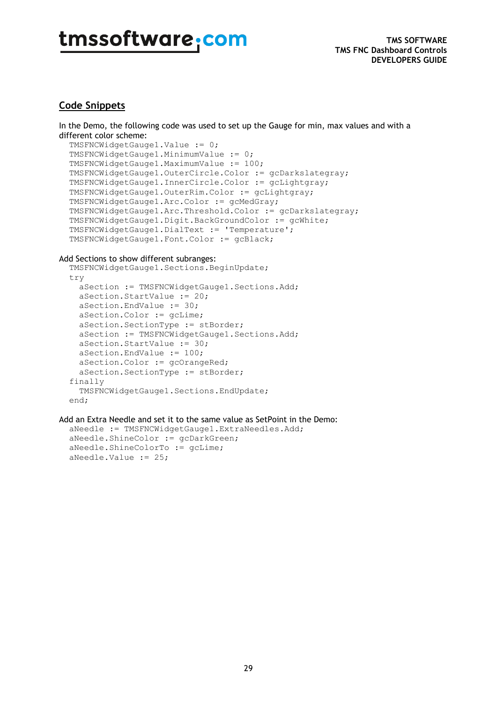#### **Code Snippets**

In the Demo, the following code was used to set up the Gauge for min, max values and with a different color scheme:

```
 TMSFNCWidgetGauge1.Value := 0;
 TMSFNCWidgetGauge1.MinimumValue := 0;
 TMSFNCWidgetGauge1.MaximumValue := 100;
 TMSFNCWidgetGauge1.OuterCircle.Color := gcDarkslategray;
 TMSFNCWidgetGauge1.InnerCircle.Color := gcLightgray;
 TMSFNCWidgetGauge1.OuterRim.Color := gcLightgray;
 TMSFNCWidgetGauge1.Arc.Color := gcMedGray;
 TMSFNCWidgetGauge1.Arc.Threshold.Color := gcDarkslategray;
 TMSFNCWidgetGauge1.Digit.BackGroundColor := gcWhite;
 TMSFNCWidgetGauge1.DialText := 'Temperature';
 TMSFNCWidgetGauge1.Font.Color := gcBlack;
```
#### Add Sections to show different subranges:

```
 TMSFNCWidgetGauge1.Sections.BeginUpdate;
 try
   aSection := TMSFNCWidgetGauge1.Sections.Add;
  aSection.StartValue := 20;
  aSection.EndValue := 30;
  aSection.Color := gcLime;
  aSection.SectionType := stBorder;
  aSection := TMSFNCWidgetGauge1.Sections.Add;
  aSection.StartValue := 30;
  aSection.EndValue := 100;
  aSection.Color := gcOrangeRed;
  aSection.SectionType := stBorder;
 finally
   TMSFNCWidgetGauge1.Sections.EndUpdate;
 end;
```
Add an Extra Needle and set it to the same value as SetPoint in the Demo:

```
 aNeedle := TMSFNCWidgetGauge1.ExtraNeedles.Add;
 aNeedle.ShineColor := gcDarkGreen;
 aNeedle.ShineColorTo := gcLime;
 aNeedle.Value := 25;
```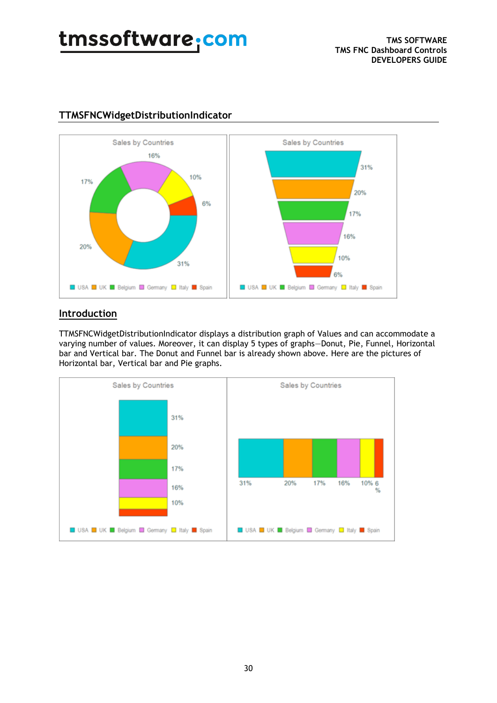

### **TTMSFNCWidgetDistributionIndicator**

### **Introduction**

TTMSFNCWidgetDistributionIndicator displays a distribution graph of Values and can accommodate a varying number of values. Moreover, it can display 5 types of graphs—Donut, Pie, Funnel, Horizontal bar and Vertical bar. The Donut and Funnel bar is already shown above. Here are the pictures of Horizontal bar, Vertical bar and Pie graphs.

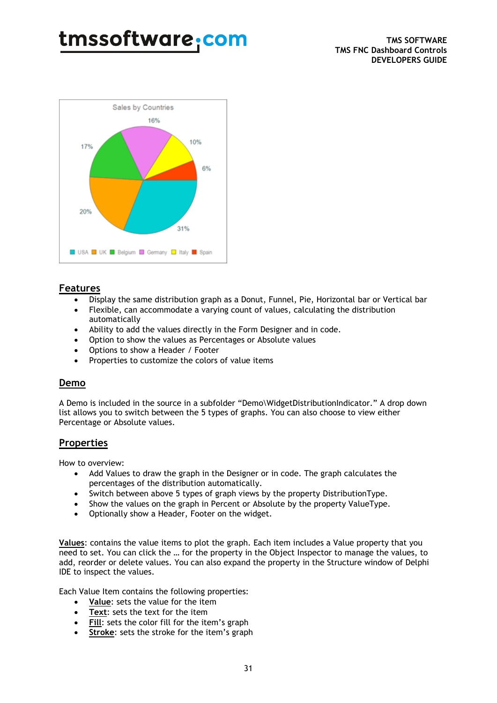

#### **Features**

- Display the same distribution graph as a Donut, Funnel, Pie, Horizontal bar or Vertical bar
- Flexible, can accommodate a varying count of values, calculating the distribution automatically
- Ability to add the values directly in the Form Designer and in code.
- Option to show the values as Percentages or Absolute values
- Options to show a Header / Footer
- Properties to customize the colors of value items

#### **Demo**

A Demo is included in the source in a subfolder "Demo\WidgetDistributionIndicator." A drop down list allows you to switch between the 5 types of graphs. You can also choose to view either Percentage or Absolute values.

#### **Properties**

How to overview:

- Add Values to draw the graph in the Designer or in code. The graph calculates the percentages of the distribution automatically.
- Switch between above 5 types of graph views by the property DistributionType.
- Show the values on the graph in Percent or Absolute by the property ValueType.
- Optionally show a Header, Footer on the widget.

**Values**: contains the value items to plot the graph. Each item includes a Value property that you need to set. You can click the … for the property in the Object Inspector to manage the values, to add, reorder or delete values. You can also expand the property in the Structure window of Delphi IDE to inspect the values.

Each Value Item contains the following properties:

- **Value**: sets the value for the item
- **Text**: sets the text for the item
- **Fill**: sets the color fill for the item's graph
- **Stroke:** sets the stroke for the item's graph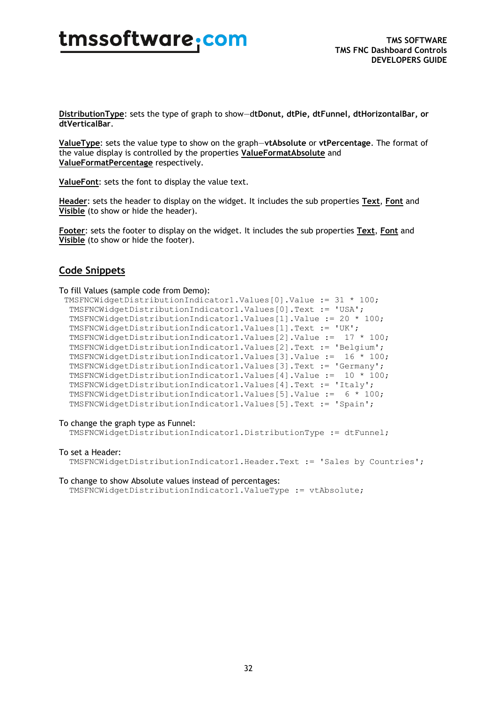**DistributionType**: sets the type of graph to show—d**tDonut, dtPie, dtFunnel, dtHorizontalBar, or dtVerticalBar**.

**ValueType**: sets the value type to show on the graph—**vtAbsolute** or **vtPercentage**. The format of the value display is controlled by the properties **ValueFormatAbsolute** and **ValueFormatPercentage** respectively.

**ValueFont**: sets the font to display the value text.

**Header**: sets the header to display on the widget. It includes the sub properties **Text**, **Font** and **Visible** (to show or hide the header).

**Footer**: sets the footer to display on the widget. It includes the sub properties **Text**, **Font** and **Visible** (to show or hide the footer).

#### **Code Snippets**

To fill Values (sample code from Demo):

```
 TMSFNCWidgetDistributionIndicator1.Values[0].Value := 31 * 100;
  TMSFNCWidgetDistributionIndicator1.Values[0].Text := 'USA';
  TMSFNCWidgetDistributionIndicator1.Values[1].Value := 20 * 100;
  TMSFNCWidgetDistributionIndicator1.Values[1].Text := 'UK';
 TMSFNCWidgetDistributionIndicator1.Values[2].Value := 17 * 100;
 TMSFNCWidgetDistributionIndicator1.Values[2].Text := 'Belgium';
 TMSFNCWidgetDistributionIndicator1.Values[3].Value := 16 * 100;
 TMSFNCWidgetDistributionIndicator1.Values[3].Text := 'Germany';
 TMSFNCWidgetDistributionIndicator1.Values[4].Value := 10 * 100;
 TMSFNCWidgetDistributionIndicator1.Values[4].Text := 'Italy';
 TMSFNCWidgetDistributionIndicator1.Values[5].Value := 6 * 100;
 TMSFNCWidgetDistributionIndicator1.Values[5].Text := 'Spain';
```
#### To change the graph type as Funnel:

TMSFNCWidgetDistributionIndicator1.DistributionType := dtFunnel;

#### To set a Header:

TMSFNCWidgetDistributionIndicator1.Header.Text := 'Sales by Countries';

#### To change to show Absolute values instead of percentages:

TMSFNCWidgetDistributionIndicator1.ValueType := vtAbsolute;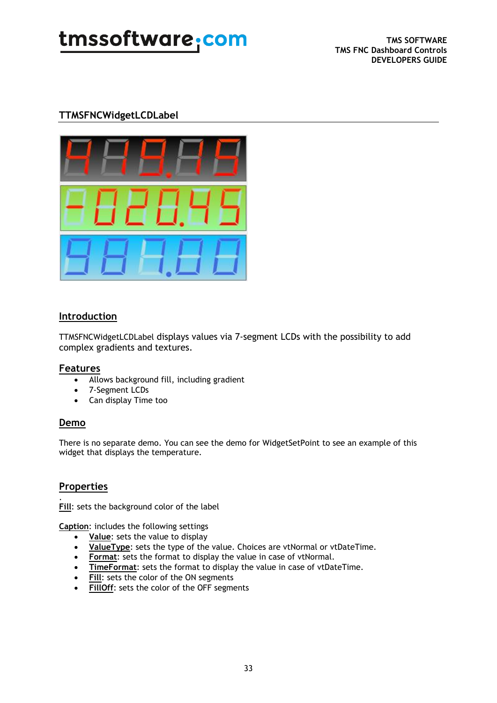### **TTMSFNCWidgetLCDLabel**



#### **Introduction**

TTMSFNCWidgetLCDLabel displays values via 7-segment LCDs with the possibility to add complex gradients and textures.

#### **Features**

- Allows background fill, including gradient
- 7-Segment LCDs
- Can display Time too

#### **Demo**

There is no separate demo. You can see the demo for WidgetSetPoint to see an example of this widget that displays the temperature.

#### **Properties**

. **Fill**: sets the background color of the label

**Caption**: includes the following settings

- **Value**: sets the value to display
- **ValueType**: sets the type of the value. Choices are vtNormal or vtDateTime.
- **Format:** sets the format to display the value in case of vtNormal.
- **TimeFormat**: sets the format to display the value in case of vtDateTime.
- **Fill**: sets the color of the ON segments
- **FillOff**: sets the color of the OFF segments